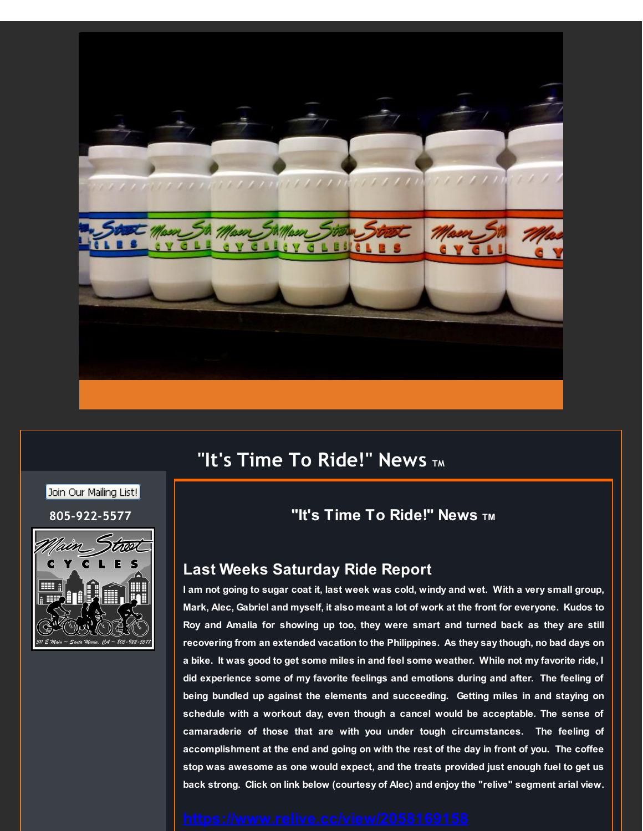

# **"It's Time To Ride!" News TM**

### Join Our Mailing List!



# **805-922-5577 "It's Time To Ride!" News TM**

## **Last Weeks Saturday Ride Report**

I am not going to sugar coat it, last week was cold, windy and wet. With a very small group, Mark, Alec, Gabriel and myself, it also meant a lot of work at the front for everyone. Kudos to **Roy and Amalia for showing up too, they were smart and turned back as they are still recovering from an extended vacation to the Philippines. As they say though, no bad days on** a bike. It was good to get some miles in and feel some weather. While not my favorite ride, I **did experience some of my favorite feelings and emotions during and after. The feeling of being bundled up against the elements and succeeding. Getting miles in and staying on schedule with a workout day, even though a cancel would be acceptable. The sense of camaraderie of those that are with you under tough circumstances. The feeling of accomplishment at the end and going on with the rest of the day in front of you. The coffee stop was awesome as one would expect, and the treats provided just enough fuel to get us back strong. Click on link below (courtesy of Alec) and enjoy the "relive" segment arial view.**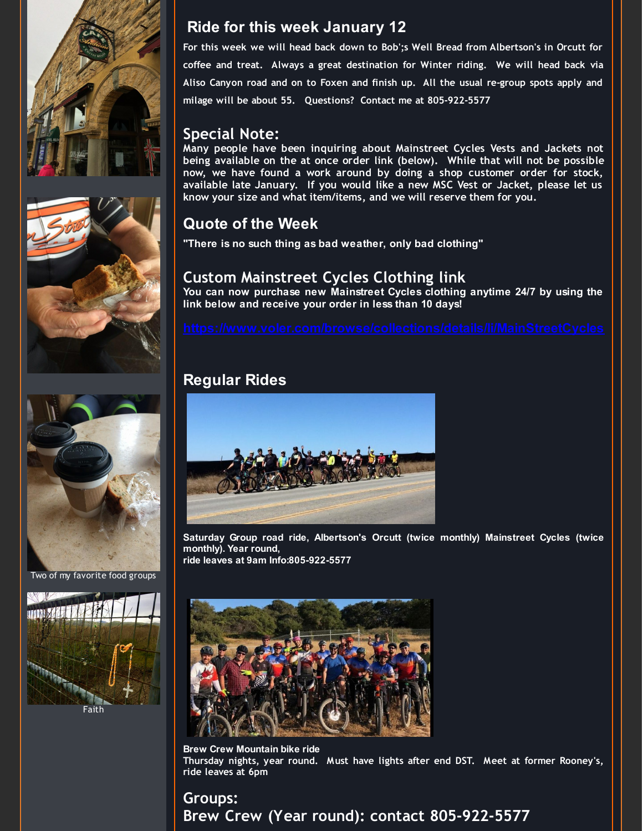





Two of my favorite food groups



**Ride for this week January 12**

**For this week we will head back down to Bob';s Well Bread from Albertson's in Orcutt for coffee and treat. Always a great destination for Winter riding. We will head back via Aliso Canyon road and on to Foxen and finish up. All the usual re-group spots apply and milage will be about 55. Questions? Contact me at 805-922-5577**

# **Special Note:**

**Many people have been inquiring about Mainstreet Cycles Vests and Jackets not being available on the at once order link (below). While that will not be possible now, we have found a work around by doing a shop customer order for stock, available late January. If you would like a new MSC Vest or Jacket, please let us know your size and what item/items, and we will reserve them for you.**

# **Quote of the Week**

**"There is no such thing as bad weather, only bad clothing"**

# **Custom Mainstreet Cycles Clothing link**

**You can now purchase new Mainstreet Cycles clothing anytime 24/7 by using the link below and receive your order in less than 10 days!**

# **Regular Rides**



**Saturday Group road ride, Albertson's Orcutt (twice monthly) Mainstreet Cycles (twice monthly). Year round,**

**ride leaves at 9am Info:805-922-5577**



**Brew Crew Mountain bike ride Thursday nights, year round. Must have lights after end DST. Meet at former Rooney's, ride leaves at 6pm**

# **Groups: Brew Crew (Year round): contact 805-922-5577**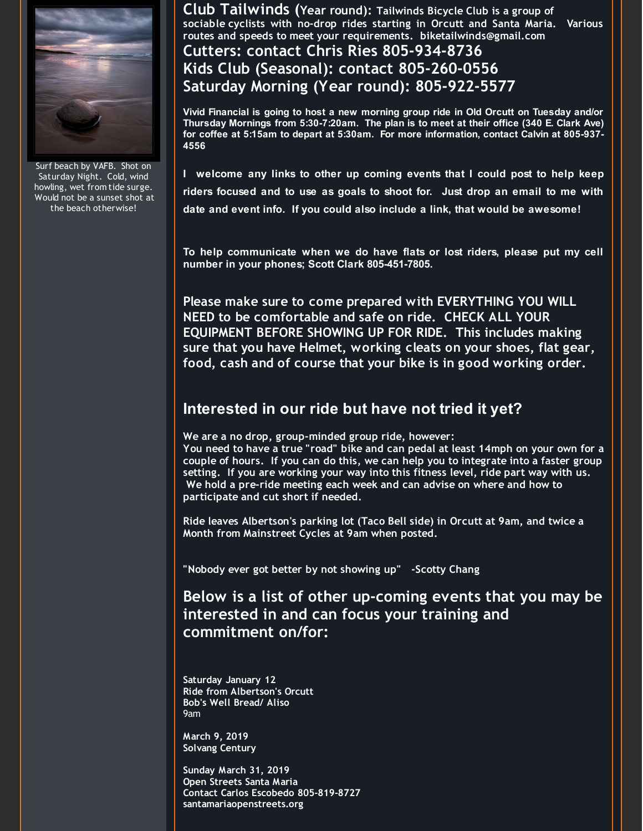

Surf beach by VAFB. Shot on Saturday Night. Cold, wind howling, wet from tide surge. Would not be a sunset shot at the beach otherwise!

**Club Tailwinds (Year round): Tailwinds Bicycle Club is <sup>a</sup> group of sociable cyclists with no-drop rides starting in Orcutt and Santa Maria. Various routes and speeds to meet your requirements. biketailwinds@gmail.com**

# **Cutters: contact Chris Ries 805-934-8736 Kids Club (Seasonal): contact 805-260-0556 Saturday Morning (Year round): 805-922-5577**

**Vivid Financial is going to host a new morning group ride in Old Orcutt on Tuesday and/or Thursday Mornings from 5:30-7:20am. The plan is to meet at their office (340 E. Clark Ave) for coffee at 5:15am to depart at 5:30am. For more information, contact Calvin at 805-937- 4556**

**I welcome any links to other up coming events that I could post to help keep riders focused and to use as goals to shoot for. Just drop an email to me with date and event info. If you could also include a link, that would be awesome!**

**To help communicate when we do have flats or lost riders, please put my cell number in your phones; Scott Clark 805-451-7805.**

**Please make sure to come prepared with EVERYTHING YOU WILL NEED to be comfortable and safe on ride. CHECK ALL YOUR EQUIPMENT BEFORE SHOWING UP FOR RIDE. This includes making sure that you have Helmet, working cleats on your shoes, flat gear, food, cash and of course that your bike is in good working order.**

# **Interested in our ride but have not tried it yet?**

**We are a no drop, group-minded group ride, however: You need to have a true "road" bike and can pedal at least 14mph on your own for a couple of hours. If you can do this, we can help you to integrate into a faster group setting. If you are working your way into this fitness level, ride part way with us. We hold a pre-ride meeting each week and can advise on where and how to participate and cut short if needed.**

**Ride leaves Albertson's parking lot (Taco Bell side) in Orcutt at 9am, and twice a Month from Mainstreet Cycles at 9am when posted.**

**"Nobody ever got better by not showing up" -Scotty Chang**

**Below is a list of other up-coming events that you may be interested in and can focus your training and commitment on/for:**

**Saturday January 12 Ride from Albertson's Orcutt Bob's Well Bread/ Aliso** 9am

**March 9, 2019 Solvang Century**

**Sunday March 31, 2019 Open Streets Santa Maria Contact Carlos Escobedo 805-819-8727 santamariaopenstreets.org**